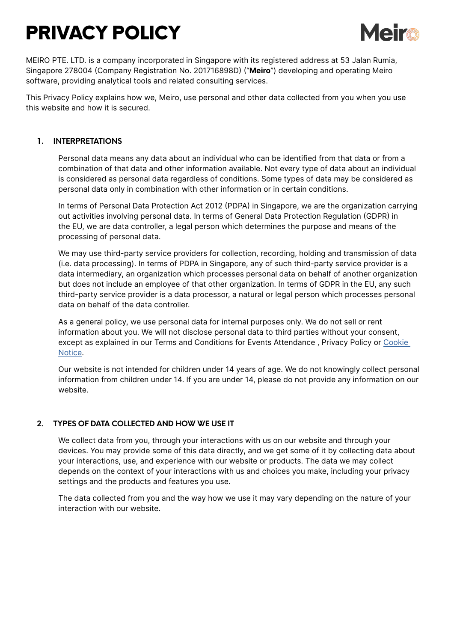# PRIVACY POLICY



MEIRO PTE. LTD. is a company incorporated in Singapore with its registered address at 53 Jalan Rumia, Singapore 278004 (Company Registration No. 201716898D) ("**Meiro**") developing and operating Meiro software, providing analytical tools and related consulting services.

This Privacy Policy explains how we, Meiro, use personal and other data collected from you when you use this website and how it is secured.

# **1. INTERPRETATIONS**

Personal data means any data about an individual who can be identified from that data or from a combination of that data and other information available. Not every type of data about an individual is considered as personal data regardless of conditions. Some types of data may be considered as personal data only in combination with other information or in certain conditions.

In terms of Personal Data Protection Act 2012 (PDPA) in Singapore, we are the organization carrying out activities involving personal data. In terms of General Data Protection Regulation (GDPR) in the EU, we are data controller, a legal person which determines the purpose and means of the processing of personal data.

We may use third-party service providers for collection, recording, holding and transmission of data (i.e. data processing). In terms of PDPA in Singapore, any of such third-party service provider is a data intermediary, an organization which processes personal data on behalf of another organization but does not include an employee of that other organization. In terms of GDPR in the EU, any such third-party service provider is a data processor, a natural or legal person which processes personal data on behalf of the data controller.

As a general policy, we use personal data for internal purposes only. We do not sell or rent information about you. We will not disclose personal data to third parties without your consent, except as explained in our Terms and Conditions for Events Attendance , Privacy Policy or [Cookie](https://meiro.io/pdf/cookie-notice.pdf)  [Notice](https://meiro.io/pdf/cookie-notice.pdf).

Our website is not intended for children under 14 years of age. We do not knowingly collect personal information from children under 14. If you are under 14, please do not provide any information on our website.

## **2. TYPES OF DATA COLLECTED AND HOW WE USE IT**

We collect data from you, through your interactions with us on our website and through your devices. You may provide some of this data directly, and we get some of it by collecting data about your interactions, use, and experience with our website or products. The data we may collect depends on the context of your interactions with us and choices you make, including your privacy settings and the products and features you use.

The data collected from you and the way how we use it may vary depending on the nature of your interaction with our website.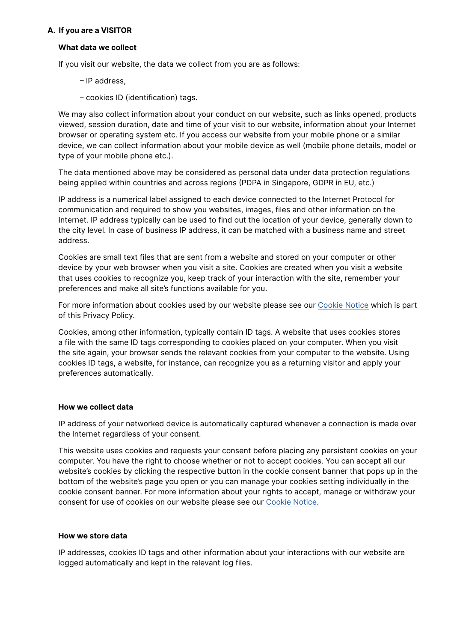## **A. If you are a VISITOR**

## **What data we collect**

If you visit our website, the data we collect from you are as follows:

– IP address,

– cookies ID (identification) tags.

We may also collect information about your conduct on our website, such as links opened, products viewed, session duration, date and time of your visit to our website, information about your Internet browser or operating system etc. If you access our website from your mobile phone or a similar device, we can collect information about your mobile device as well (mobile phone details, model or type of your mobile phone etc.).

The data mentioned above may be considered as personal data under data protection regulations being applied within countries and across regions (PDPA in Singapore, GDPR in EU, etc.)

IP address is a numerical label assigned to each device connected to the Internet Protocol for communication and required to show you websites, images, files and other information on the Internet. IP address typically can be used to find out the location of your device, generally down to the city level. In case of business IP address, it can be matched with a business name and street address.

Cookies are small text files that are sent from a website and stored on your computer or other device by your web browser when you visit a site. Cookies are created when you visit a website that uses cookies to recognize you, keep track of your interaction with the site, remember your preferences and make all site's functions available for you.

For more information about cookies used by our website please see our [Cookie Notice](https://meiro.io/pdf/cookie-notice.pdf) which is part of this Privacy Policy.

Cookies, among other information, typically contain ID tags. A website that uses cookies stores a file with the same ID tags corresponding to cookies placed on your computer. When you visit the site again, your browser sends the relevant cookies from your computer to the website. Using cookies ID tags, a website, for instance, can recognize you as a returning visitor and apply your preferences automatically.

## **How we collect data**

IP address of your networked device is automatically captured whenever a connection is made over the Internet regardless of your consent.

This website uses cookies and requests your consent before placing any persistent cookies on your computer. You have the right to choose whether or not to accept cookies. You can accept all our website's cookies by clicking the respective button in the cookie consent banner that pops up in the bottom of the website's page you open or you can manage your cookies setting individually in the cookie consent banner. For more information about your rights to accept, manage or withdraw your consent for use of cookies on our website please see our [Cookie Notice](https://www.meiro.io/cookie-notice/).

## **How we store data**

IP addresses, cookies ID tags and other information about your interactions with our website are logged automatically and kept in the relevant log files.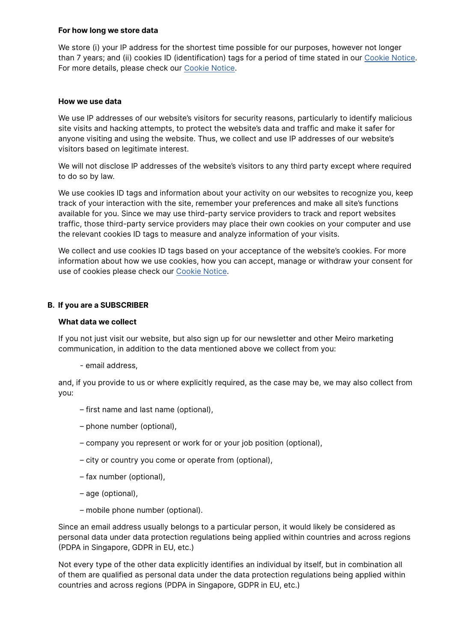#### **For how long we store data**

We store (i) your IP address for the shortest time possible for our purposes, however not longer than 7 years; and (ii) cookies ID (identification) tags for a period of time stated in our [Cookie Notice.](https://www.meiro.io/cookie-notice/) For more details, please check our [Cookie Notice](https://www.meiro.io/cookie-notice/).

## **How we use data**

We use IP addresses of our website's visitors for security reasons, particularly to identify malicious site visits and hacking attempts, to protect the website's data and traffic and make it safer for anyone visiting and using the website. Thus, we collect and use IP addresses of our website's visitors based on legitimate interest.

We will not disclose IP addresses of the website's visitors to any third party except where required to do so by law.

We use cookies ID tags and information about your activity on our websites to recognize you, keep track of your interaction with the site, remember your preferences and make all site's functions available for you. Since we may use third-party service providers to track and report websites traffic, those third-party service providers may place their own cookies on your computer and use the relevant cookies ID tags to measure and analyze information of your visits.

We collect and use cookies ID tags based on your acceptance of the website's cookies. For more information about how we use cookies, how you can accept, manage or withdraw your consent for use of cookies please check our [Cookie Notice.](https://www.meiro.io/cookie-notice/)

## **B. If you are a SUBSCRIBER**

## **What data we collect**

If you not just visit our website, but also sign up for our newsletter and other Meiro marketing communication, in addition to the data mentioned above we collect from you:

- email address,

and, if you provide to us or where explicitly required, as the case may be, we may also collect from you:

- first name and last name (optional),
- phone number (optional),
- company you represent or work for or your job position (optional),
- city or country you come or operate from (optional),
- fax number (optional),
- age (optional),
- mobile phone number (optional).

Since an email address usually belongs to a particular person, it would likely be considered as personal data under data protection regulations being applied within countries and across regions (PDPA in Singapore, GDPR in EU, etc.)

Not every type of the other data explicitly identifies an individual by itself, but in combination all of them are qualified as personal data under the data protection regulations being applied within countries and across regions (PDPA in Singapore, GDPR in EU, etc.)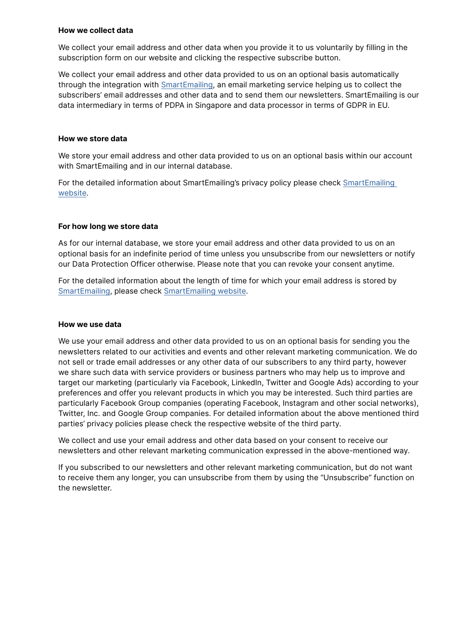#### **How we collect data**

We collect your email address and other data when you provide it to us voluntarily by filling in the subscription form on our website and clicking the respective subscribe button.

We collect your email address and other data provided to us on an optional basis automatically through the integration with [SmartEmailing](https://www.smartemailing.cz/), an email marketing service helping us to collect the subscribers' email addresses and other data and to send them our newsletters. SmartEmailing is our data intermediary in terms of PDPA in Singapore and data processor in terms of GDPR in EU.

## **How we store data**

We store your email address and other data provided to us on an optional basis within our account with SmartEmailing and in our internal database.

For the detailed information about SmartEmailing's privacy policy please check [SmartEmailing](https://www.smartemailing.cz/)  [website.](https://www.smartemailing.cz/)

# **For how long we store data**

As for our internal database, we store your email address and other data provided to us on an optional basis for an indefinite period of time unless you unsubscribe from our newsletters or notify our Data Protection Officer otherwise. Please note that you can revoke your consent anytime.

For the detailed information about the length of time for which your email address is stored by [SmartEmailing](https://www.smartemailing.cz/), please check [SmartEmailing website.](https://www.smartemailing.cz/)

## **How we use data**

We use your email address and other data provided to us on an optional basis for sending you the newsletters related to our activities and events and other relevant marketing communication. We do not sell or trade email addresses or any other data of our subscribers to any third party, however we share such data with service providers or business partners who may help us to improve and target our marketing (particularly via Facebook, LinkedIn, Twitter and Google Ads) according to your preferences and offer you relevant products in which you may be interested. Such third parties are particularly Facebook Group companies (operating Facebook, Instagram and other social networks), Twitter, Inc. and Google Group companies. For detailed information about the above mentioned third parties' privacy policies please check the respective website of the third party.

We collect and use your email address and other data based on your consent to receive our newsletters and other relevant marketing communication expressed in the above-mentioned way.

If you subscribed to our newsletters and other relevant marketing communication, but do not want to receive them any longer, you can unsubscribe from them by using the "Unsubscribe" function on the newsletter.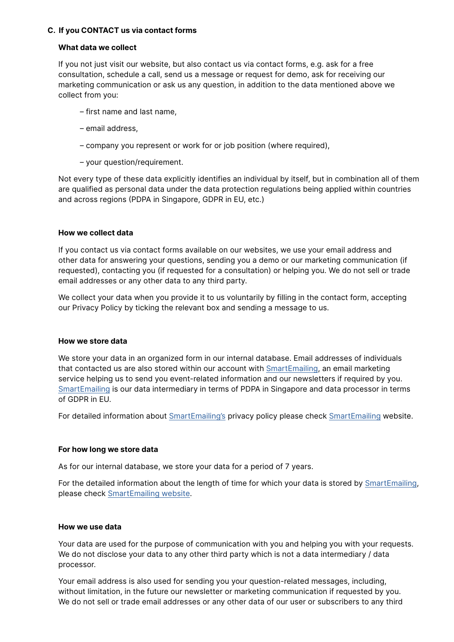## **C. If you CONTACT us via contact forms**

## **What data we collect**

If you not just visit our website, but also contact us via contact forms, e.g. ask for a free consultation, schedule a call, send us a message or request for demo, ask for receiving our marketing communication or ask us any question, in addition to the data mentioned above we collect from you:

- first name and last name,
- email address,
- company you represent or work for or job position (where required),
- your question/requirement.

Not every type of these data explicitly identifies an individual by itself, but in combination all of them are qualified as personal data under the data protection regulations being applied within countries and across regions (PDPA in Singapore, GDPR in EU, etc.)

## **How we collect data**

If you contact us via contact forms available on our websites, we use your email address and other data for answering your questions, sending you a demo or our marketing communication (if requested), contacting you (if requested for a consultation) or helping you. We do not sell or trade email addresses or any other data to any third party.

We collect your data when you provide it to us voluntarily by filling in the contact form, accepting our Privacy Policy by ticking the relevant box and sending a message to us.

## **How we store data**

We store your data in an organized form in our internal database. Email addresses of individuals that contacted us are also stored within our account with [SmartEmailing](https://www.smartemailing.cz/), an email marketing service helping us to send you event-related information and our newsletters if required by you. [SmartEmailing](https://www.smartemailing.cz/) is our data intermediary in terms of PDPA in Singapore and data processor in terms of GDPR in EU.

For detailed information about [SmartEmailing's](https://www.smartemailing.cz/) privacy policy please check [SmartEmailing](https://www.smartemailing.cz/) website.

## **For how long we store data**

As for our internal database, we store your data for a period of 7 years.

For the detailed information about the length of time for which your data is stored by [SmartEmailing,](https://www.smartemailing.cz/) please check [SmartEmailing website](https://www.smartemailing.cz/).

## **How we use data**

Your data are used for the purpose of communication with you and helping you with your requests. We do not disclose your data to any other third party which is not a data intermediary / data processor.

Your email address is also used for sending you your question-related messages, including, without limitation, in the future our newsletter or marketing communication if requested by you. We do not sell or trade email addresses or any other data of our user or subscribers to any third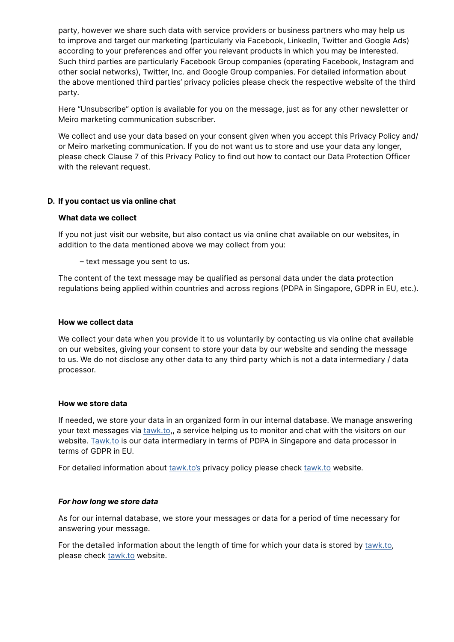party, however we share such data with service providers or business partners who may help us to improve and target our marketing (particularly via Facebook, LinkedIn, Twitter and Google Ads) according to your preferences and offer you relevant products in which you may be interested. Such third parties are particularly Facebook Group companies (operating Facebook, Instagram and other social networks), Twitter, Inc. and Google Group companies. For detailed information about the above mentioned third parties' privacy policies please check the respective website of the third party.

Here "Unsubscribe" option is available for you on the message, just as for any other newsletter or Meiro marketing communication subscriber.

We collect and use your data based on your consent given when you accept this Privacy Policy and/ or Meiro marketing communication. If you do not want us to store and use your data any longer, please check Clause 7 of this Privacy Policy to find out how to contact our Data Protection Officer with the relevant request.

# **D. If you contact us via online chat**

#### **What data we collect**

If you not just visit our website, but also contact us via online chat available on our websites, in addition to the data mentioned above we may collect from you:

– text message you sent to us.

The content of the text message may be qualified as personal data under the data protection regulations being applied within countries and across regions (PDPA in Singapore, GDPR in EU, etc.).

## **How we collect data**

We collect your data when you provide it to us voluntarily by contacting us via online chat available on our websites, giving your consent to store your data by our website and sending the message to us. We do not disclose any other data to any third party which is not a data intermediary / data processor.

## **How we store data**

If needed, we store your data in an organized form in our internal database. We manage answering your text messages via [tawk.to](https://www.tawk.to/),, a service helping us to monitor and chat with the visitors on our website. [Tawk.to](https://www.tawk.to/) is our data intermediary in terms of PDPA in Singapore and data processor in terms of GDPR in EU.

For detailed information about [tawk.to's](https://www.tawk.to/) privacy policy please check [tawk.to](https://www.tawk.to/) website.

## *For how long we store data*

As for our internal database, we store your messages or data for a period of time necessary for answering your message.

For the detailed information about the length of time for which your data is stored by [tawk.to,](https://www.tawk.to/) please check [tawk.to](https://www.tawk.to/) website.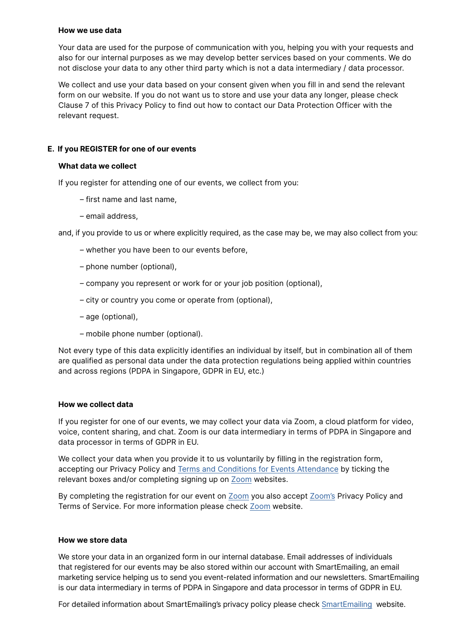#### **How we use data**

Your data are used for the purpose of communication with you, helping you with your requests and also for our internal purposes as we may develop better services based on your comments. We do not disclose your data to any other third party which is not a data intermediary / data processor.

We collect and use your data based on your consent given when you fill in and send the relevant form on our website. If you do not want us to store and use your data any longer, please check Clause 7 of this Privacy Policy to find out how to contact our Data Protection Officer with the relevant request.

# **E. If you REGISTER for one of our events**

#### **What data we collect**

If you register for attending one of our events, we collect from you:

- first name and last name,
- email address,

and, if you provide to us or where explicitly required, as the case may be, we may also collect from you:

- whether you have been to our events before,
- phone number (optional),
- company you represent or work for or your job position (optional),
- city or country you come or operate from (optional),
- age (optional),
- mobile phone number (optional).

Not every type of this data explicitly identifies an individual by itself, but in combination all of them are qualified as personal data under the data protection regulations being applied within countries and across regions (PDPA in Singapore, GDPR in EU, etc.)

#### **How we collect data**

If you register for one of our events, we may collect your data via Zoom, a cloud platform for video, voice, content sharing, and chat. Zoom is our data intermediary in terms of PDPA in Singapore and data processor in terms of GDPR in EU.

We collect your data when you provide it to us voluntarily by filling in the registration form, accepting our Privacy Policy and [Terms and Conditions for Events Attendance](https://meiro.io/pdf/terms-events.pdf) by ticking the relevant boxes and/or completing signing up on [Zoom](https://zoom.us/) websites.

By completing the registration for our event on [Zoom](https://zoom.us/) you also accept [Zoom's](https://zoom.us/) Privacy Policy and Terms of Service. For more information please check [Zoom](https://zoom.us/) website.

#### **How we store data**

We store your data in an organized form in our internal database. Email addresses of individuals that registered for our events may be also stored within our account with SmartEmailing, an email marketing service helping us to send you event-related information and our newsletters. SmartEmailing is our data intermediary in terms of PDPA in Singapore and data processor in terms of GDPR in EU.

For detailed information about SmartEmailing's privacy policy please check [SmartEmailing](https://www.smartemailing.cz/) website.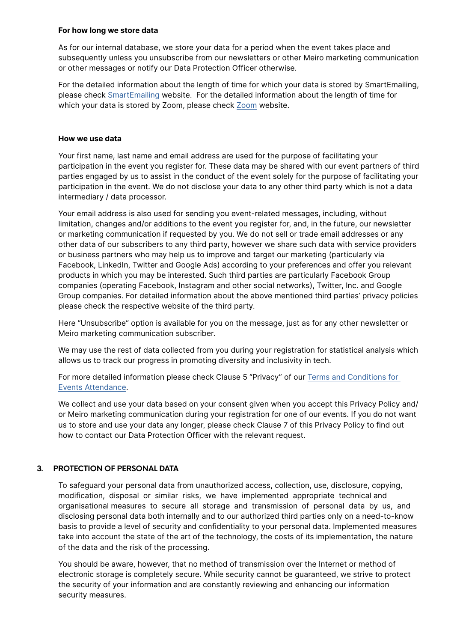#### **For how long we store data**

As for our internal database, we store your data for a period when the event takes place and subsequently unless you unsubscribe from our newsletters or other Meiro marketing communication or other messages or notify our Data Protection Officer otherwise.

For the detailed information about the length of time for which your data is stored by SmartEmailing, please check [SmartEmailing](https://www.smartemailing.cz/) website. For the detailed information about the length of time for which your data is stored by Zoom, please check [Zoom](https://zoom.us/) website.

## **How we use data**

Your first name, last name and email address are used for the purpose of facilitating your participation in the event you register for. These data may be shared with our event partners of third parties engaged by us to assist in the conduct of the event solely for the purpose of facilitating your participation in the event. We do not disclose your data to any other third party which is not a data intermediary / data processor.

Your email address is also used for sending you event-related messages, including, without limitation, changes and/or additions to the event you register for, and, in the future, our newsletter or marketing communication if requested by you. We do not sell or trade email addresses or any other data of our subscribers to any third party, however we share such data with service providers or business partners who may help us to improve and target our marketing (particularly via Facebook, LinkedIn, Twitter and Google Ads) according to your preferences and offer you relevant products in which you may be interested. Such third parties are particularly Facebook Group companies (operating Facebook, Instagram and other social networks), Twitter, Inc. and Google Group companies. For detailed information about the above mentioned third parties' privacy policies please check the respective website of the third party.

Here "Unsubscribe" option is available for you on the message, just as for any other newsletter or Meiro marketing communication subscriber.

We may use the rest of data collected from you during your registration for statistical analysis which allows us to track our progress in promoting diversity and inclusivity in tech.

For more detailed information please check Clause 5 "Privacy" of our [Terms and Conditions for](https://meiro.io/pdf/terms-events.pdf)  [Events Attendance.](https://meiro.io/pdf/terms-events.pdf)

We collect and use your data based on your consent given when you accept this Privacy Policy and/ or Meiro marketing communication during your registration for one of our events. If you do not want us to store and use your data any longer, please check Clause 7 of this Privacy Policy to find out how to contact our Data Protection Officer with the relevant request.

# **3. PROTECTION OF PERSONAL DATA**

To safeguard your personal data from unauthorized access, collection, use, disclosure, copying, modification, disposal or similar risks, we have implemented appropriate technical and organisational measures to secure all storage and transmission of personal data by us, and disclosing personal data both internally and to our authorized third parties only on a need-to-know basis to provide a level of security and confidentiality to your personal data. Implemented measures take into account the state of the art of the technology, the costs of its implementation, the nature of the data and the risk of the processing.

You should be aware, however, that no method of transmission over the Internet or method of electronic storage is completely secure. While security cannot be guaranteed, we strive to protect the security of your information and are constantly reviewing and enhancing our information security measures.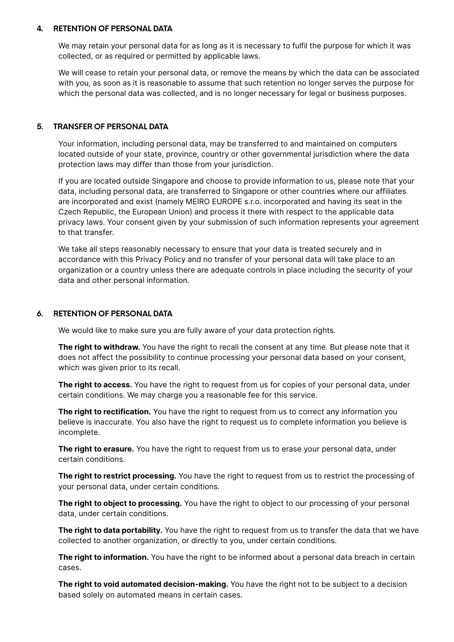## **4. RETENTION OF PERSONAL DATA**

We may retain your personal data for as long as it is necessary to fulfil the purpose for which it was collected, or as required or permitted by applicable laws.

We will cease to retain your personal data, or remove the means by which the data can be associated with you, as soon as it is reasonable to assume that such retention no longer serves the purpose for which the personal data was collected, and is no longer necessary for legal or business purposes.

# **5. TRANSFER OF PERSONAL DATA**

Your information, including personal data, may be transferred to and maintained on computers located outside of your state, province, country or other governmental jurisdiction where the data protection laws may differ than those from your jurisdiction.

If you are located outside Singapore and choose to provide information to us, please note that your data, including personal data, are transferred to Singapore or other countries where our affiliates are incorporated and exist (namely MEIRO EUROPE s.r.o. incorporated and having its seat in the Czech Republic, the European Union) and process it there with respect to the applicable data privacy laws. Your consent given by your submission of such information represents your agreement to that transfer.

We take all steps reasonably necessary to ensure that your data is treated securely and in accordance with this Privacy Policy and no transfer of your personal data will take place to an organization or a country unless there are adequate controls in place including the security of your data and other personal information.

# **6. RETENTION OF PERSONAL DATA**

We would like to make sure you are fully aware of your data protection rights.

**The right to withdraw.** You have the right to recall the consent at any time. But please note that it does not affect the possibility to continue processing your personal data based on your consent, which was given prior to its recall.

**The right to access.** You have the right to request from us for copies of your personal data, under certain conditions. We may charge you a reasonable fee for this service.

**The right to rectification.** You have the right to request from us to correct any information you believe is inaccurate. You also have the right to request us to complete information you believe is incomplete.

**The right to erasure.** You have the right to request from us to erase your personal data, under certain conditions.

**The right to restrict processing.** You have the right to request from us to restrict the processing of your personal data, under certain conditions.

**The right to object to processing.** You have the right to object to our processing of your personal data, under certain conditions.

**The right to data portability.** You have the right to request from us to transfer the data that we have collected to another organization, or directly to you, under certain conditions.

**The right to information.** You have the right to be informed about a personal data breach in certain cases.

**The right to void automated decision-making.** You have the right not to be subject to a decision based solely on automated means in certain cases.